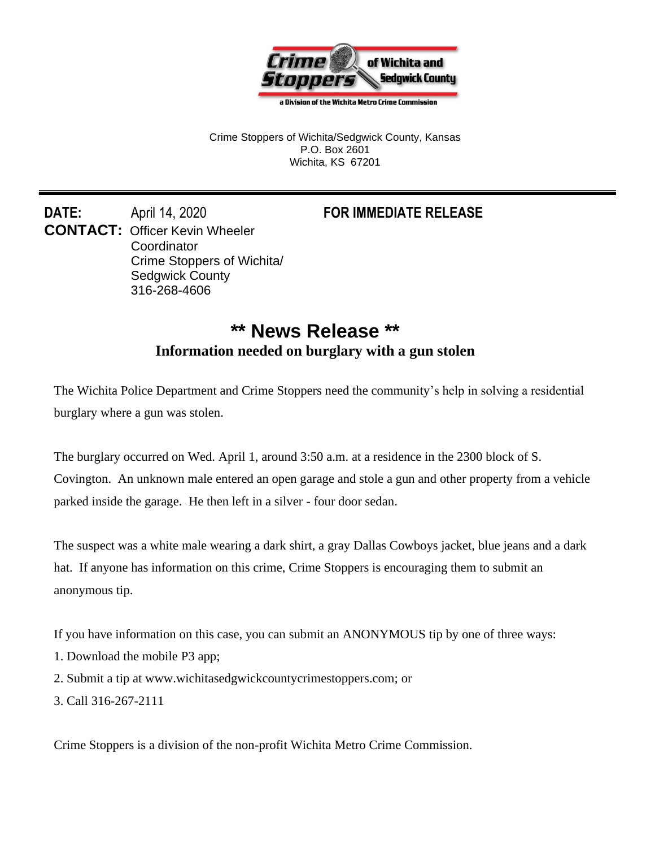

a Division of the Wichita Metro Crime Commission

Crime Stoppers of Wichita/Sedgwick County, Kansas P.O. Box 2601 Wichita, KS 67201

**DATE:** April 14, 2020 **FOR IMMEDIATE RELEASE CONTACT:** Officer Kevin Wheeler **Coordinator** Crime Stoppers of Wichita/ Sedgwick County 316-268-4606

## **\*\* News Release \*\* Information needed on burglary with a gun stolen**

The Wichita Police Department and Crime Stoppers need the community's help in solving a residential burglary where a gun was stolen.

The burglary occurred on Wed. April 1, around 3:50 a.m. at a residence in the 2300 block of S. Covington. An unknown male entered an open garage and stole a gun and other property from a vehicle parked inside the garage. He then left in a silver - four door sedan.

The suspect was a white male wearing a dark shirt, a gray Dallas Cowboys jacket, blue jeans and a dark hat. If anyone has information on this crime, Crime Stoppers is encouraging them to submit an anonymous tip.

If you have information on this case, you can submit an ANONYMOUS tip by one of three ways:

- 1. Download the mobile P3 app;
- 2. Submit a tip at www.wichitasedgwickcountycrimestoppers.com; or
- 3. Call 316-267-2111

Crime Stoppers is a division of the non-profit Wichita Metro Crime Commission.